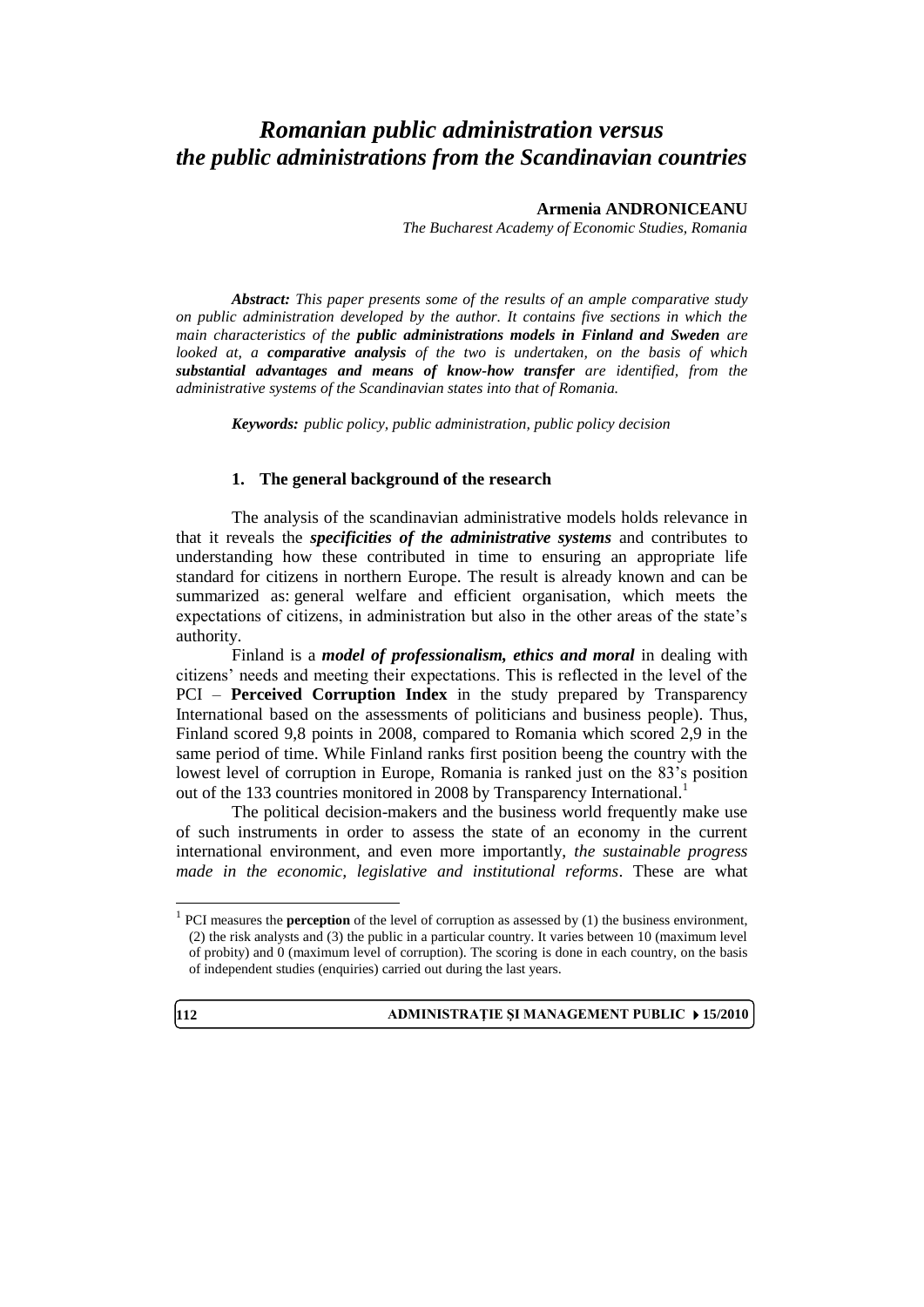# *Romanian public administration versus the public administrations from the Scandinavian countries*

#### **Armenia ANDRONICEANU**

*The Bucharest Academy of Economic Studies, Romania*

*Abstract: This paper presents some of the results of an ample comparative study on public administration developed by the author. It contains five sections in which the main characteristics of the public administrations models in Finland and Sweden are looked at, a comparative analysis of the two is undertaken, on the basis of which substantial advantages and means of know-how transfer are identified, from the administrative systems of the Scandinavian states into that of Romania.*

*Keywords: public policy, public administration, public policy decision*

#### **1. The general background of the research**

The analysis of the scandinavian administrative models holds relevance in that it reveals the *specificities of the administrative systems* and contributes to understanding how these contributed in time to ensuring an appropriate life standard for citizens in northern Europe. The result is already known and can be summarized as: general welfare and efficient organisation, which meets the expectations of citizens, in administration but also in the other areas of the state's authority.

Finland is a *model of professionalism, ethics and moral* in dealing with citizens' needs and meeting their expectations. This is reflected in the level of the PCI – **Perceived Corruption Index** in the study prepared by Transparency International based on the assessments of politicians and business people). Thus, Finland scored 9,8 points in 2008, compared to Romania which scored 2,9 in the same period of time. While Finland ranks first position beeng the country with the lowest level of corruption in Europe, Romania is ranked just on the 83's position out of the 133 countries monitored in 2008 by Transparency International.<sup>1</sup>

The political decision-makers and the business world frequently make use of such instruments in order to assess the state of an economy in the current international environment, and even more importantly, *the sustainable progress made in the economic, legislative and institutional reforms*. These are what

<sup>&</sup>lt;sup>1</sup> PCI measures the **perception** of the level of corruption as assessed by (1) the business environment, (2) the risk analysts and (3) the public in a particular country. It varies between 10 (maximum level of probity) and 0 (maximum level of corruption). The scoring is done in each country, on the basis of independent studies (enquiries) carried out during the last years.



 $\overline{a}$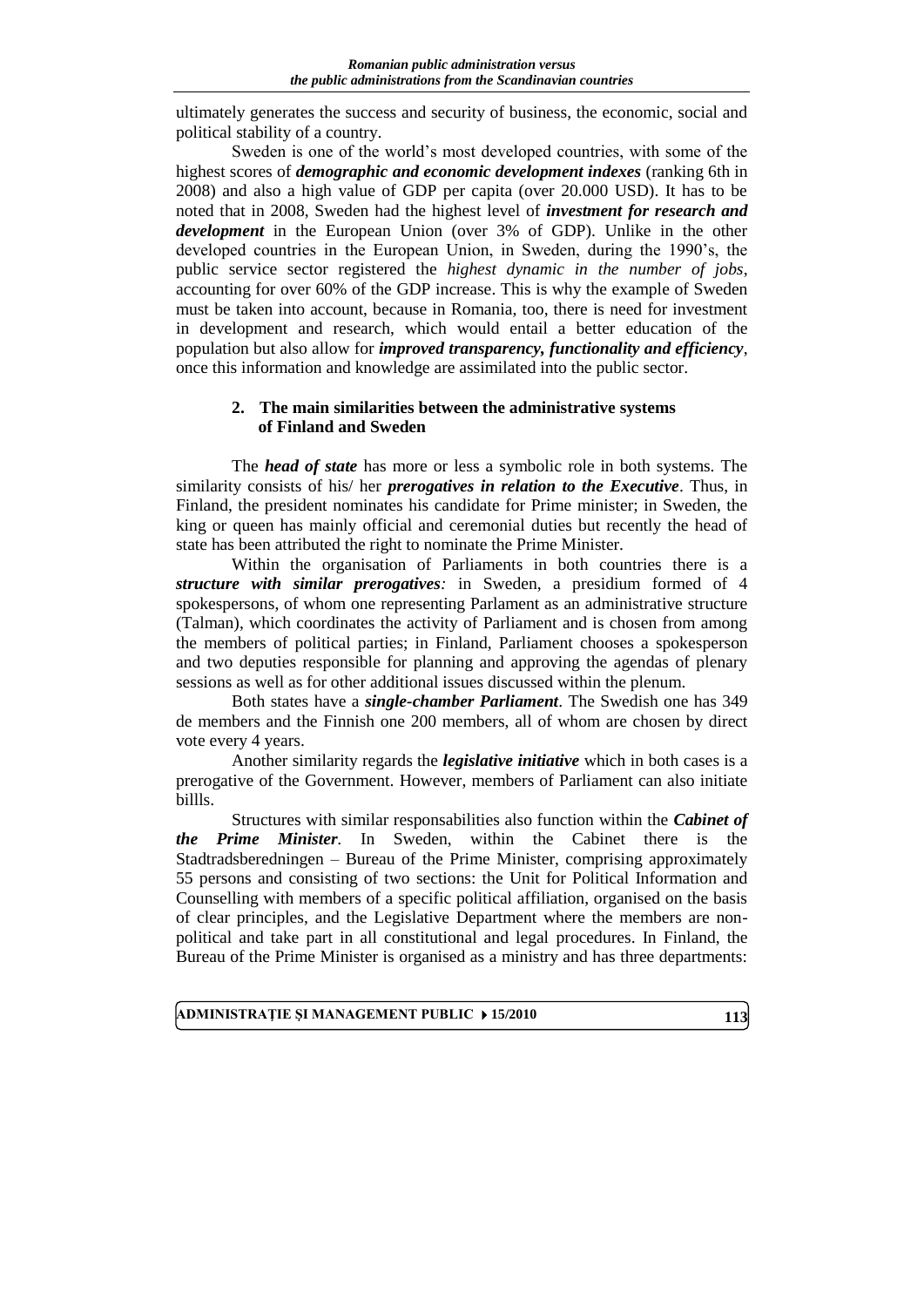ultimately generates the success and security of business, the economic, social and political stability of a country.

Sweden is one of the world's most developed countries, with some of the highest scores of *demographic and economic development indexes* (ranking 6th in 2008) and also a high value of GDP per capita (over 20.000 USD). It has to be noted that in 2008, Sweden had the highest level of *investment for research and development* in the European Union (over 3% of GDP). Unlike in the other developed countries in the European Union, in Sweden, during the 1990's, the public service sector registered the *highest dynamic in the number of jobs*, accounting for over 60% of the GDP increase. This is why the example of Sweden must be taken into account, because in Romania, too, there is need for investment in development and research, which would entail a better education of the population but also allow for *improved transparency, functionality and efficiency*, once this information and knowledge are assimilated into the public sector.

#### **2. The main similarities between the administrative systems of Finland and Sweden**

The *head of state* has more or less a symbolic role in both systems. The similarity consists of his/ her *prerogatives in relation to the Executive*. Thus, in Finland, the president nominates his candidate for Prime minister; in Sweden, the king or queen has mainly official and ceremonial duties but recently the head of state has been attributed the right to nominate the Prime Minister.

Within the organisation of Parliaments in both countries there is a *structure with similar prerogatives:* in Sweden, a presidium formed of 4 spokespersons, of whom one representing Parlament as an administrative structure (Talman), which coordinates the activity of Parliament and is chosen from among the members of political parties; in Finland, Parliament chooses a spokesperson and two deputies responsible for planning and approving the agendas of plenary sessions as well as for other additional issues discussed within the plenum.

Both states have a *single-chamber Parliament*. The Swedish one has 349 de members and the Finnish one 200 members, all of whom are chosen by direct vote every 4 years.

Another similarity regards the *legislative initiative* which in both cases is a prerogative of the Government. However, members of Parliament can also initiate billls.

Structures with similar responsabilities also function within the *Cabinet of the Prime Minister.* In Sweden, within the Cabinet there is the Stadtradsberedningen – Bureau of the Prime Minister, comprising approximately 55 persons and consisting of two sections: the Unit for Political Information and Counselling with members of a specific political affiliation, organised on the basis of clear principles, and the Legislative Department where the members are nonpolitical and take part in all constitutional and legal procedures. In Finland, the Bureau of the Prime Minister is organised as a ministry and has three departments: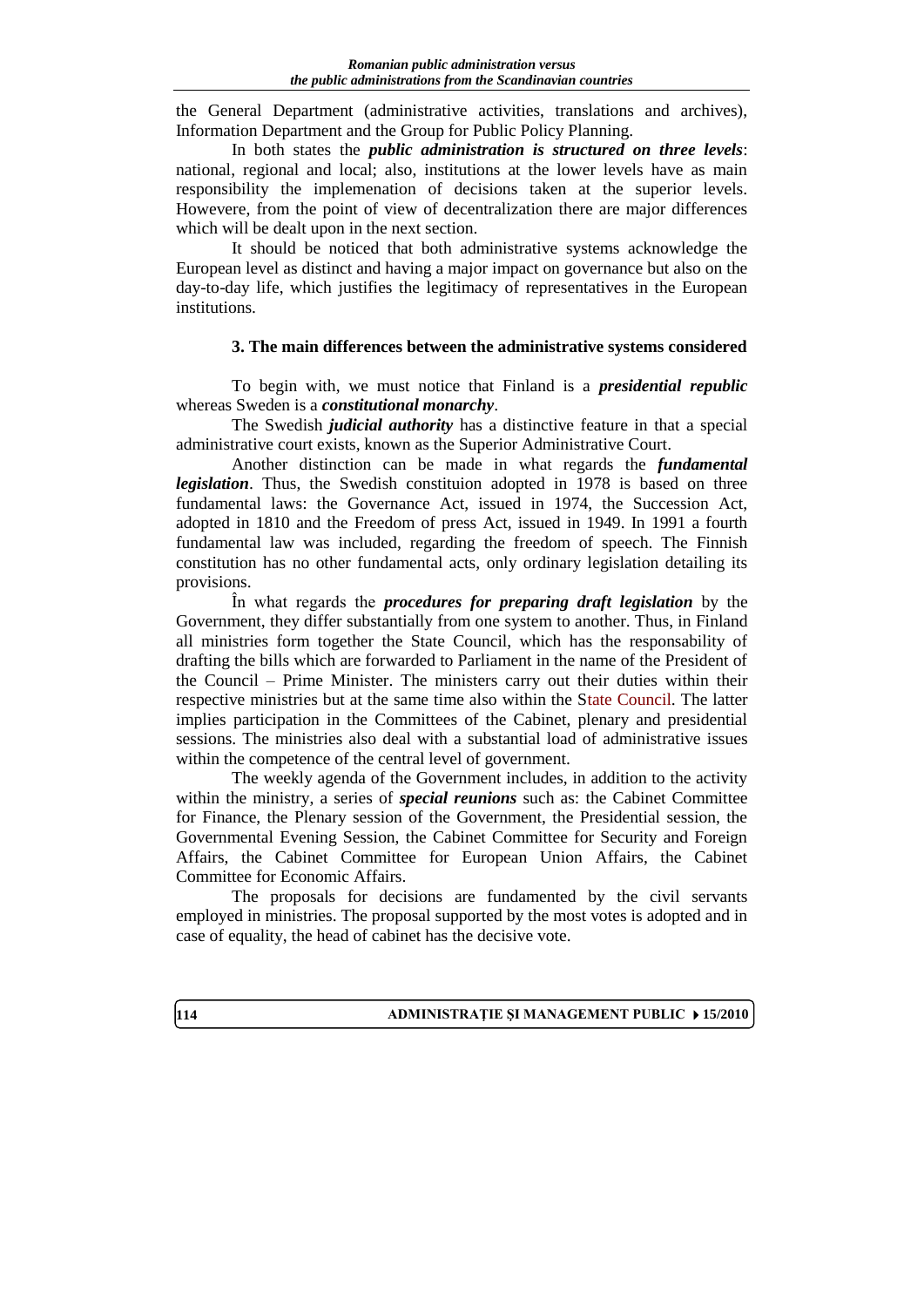the General Department (administrative activities, translations and archives), Information Department and the Group for Public Policy Planning.

In both states the *public administration is structured on three levels*: national, regional and local; also, institutions at the lower levels have as main responsibility the implemenation of decisions taken at the superior levels. Howevere, from the point of view of decentralization there are major differences which will be dealt upon in the next section.

It should be noticed that both administrative systems acknowledge the European level as distinct and having a major impact on governance but also on the day-to-day life, which justifies the legitimacy of representatives in the European institutions.

#### **3. The main differences between the administrative systems considered**

To begin with, we must notice that Finland is a *presidential republic* whereas Sweden is a *constitutional monarchy*.

The Swedish *judicial authority* has a distinctive feature in that a special administrative court exists, known as the Superior Administrative Court.

Another distinction can be made in what regards the *fundamental legislation*. Thus, the Swedish constituion adopted in 1978 is based on three fundamental laws: the Governance Act, issued in 1974, the Succession Act, adopted in 1810 and the Freedom of press Act, issued in 1949. In 1991 a fourth fundamental law was included, regarding the freedom of speech. The Finnish constitution has no other fundamental acts, only ordinary legislation detailing its provisions.

În what regards the *procedures for preparing draft legislation* by the Government, they differ substantially from one system to another. Thus, in Finland all ministries form together the State Council, which has the responsability of drafting the bills which are forwarded to Parliament in the name of the President of the Council – Prime Minister. The ministers carry out their duties within their respective ministries but at the same time also within the State Council. The latter implies participation in the Committees of the Cabinet, plenary and presidential sessions. The ministries also deal with a substantial load of administrative issues within the competence of the central level of government.

The weekly agenda of the Government includes, in addition to the activity within the ministry, a series of *special reunions* such as: the Cabinet Committee for Finance, the Plenary session of the Government, the Presidential session, the Governmental Evening Session, the Cabinet Committee for Security and Foreign Affairs, the Cabinet Committee for European Union Affairs, the Cabinet Committee for Economic Affairs.

The proposals for decisions are fundamented by the civil servants employed in ministries. The proposal supported by the most votes is adopted and in case of equality, the head of cabinet has the decisive vote.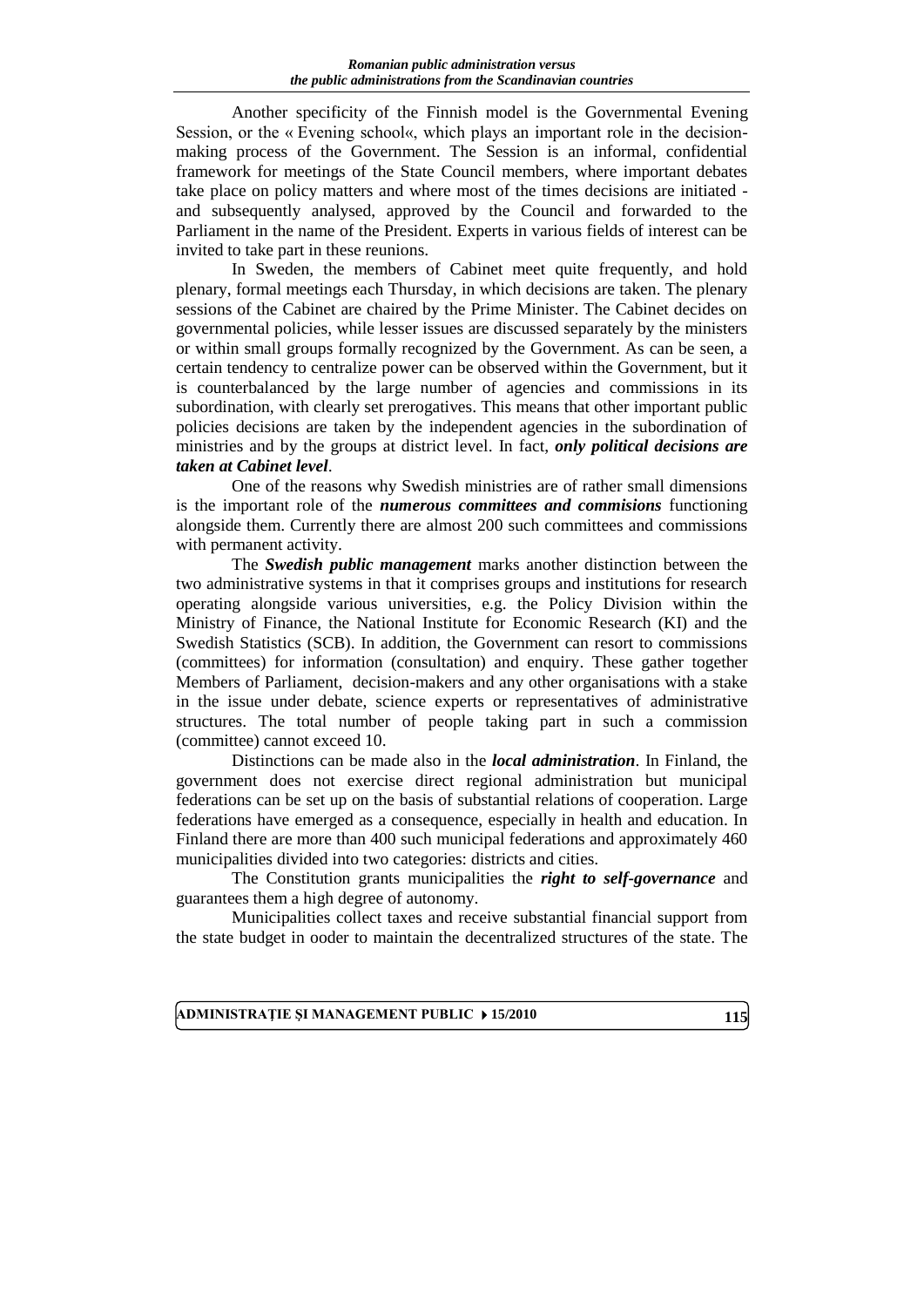Another specificity of the Finnish model is the Governmental Evening Session, or the « Evening school«, which plays an important role in the decisionmaking process of the Government. The Session is an informal, confidential framework for meetings of the State Council members, where important debates take place on policy matters and where most of the times decisions are initiated and subsequently analysed, approved by the Council and forwarded to the Parliament in the name of the President. Experts in various fields of interest can be invited to take part in these reunions.

In Sweden, the members of Cabinet meet quite frequently, and hold plenary, formal meetings each Thursday, in which decisions are taken. The plenary sessions of the Cabinet are chaired by the Prime Minister. The Cabinet decides on governmental policies, while lesser issues are discussed separately by the ministers or within small groups formally recognized by the Government. As can be seen, a certain tendency to centralize power can be observed within the Government, but it is counterbalanced by the large number of agencies and commissions in its subordination, with clearly set prerogatives. This means that other important public policies decisions are taken by the independent agencies in the subordination of ministries and by the groups at district level. In fact, *only political decisions are taken at Cabinet level*.

One of the reasons why Swedish ministries are of rather small dimensions is the important role of the *numerous committees and commisions* functioning alongside them. Currently there are almost 200 such committees and commissions with permanent activity.

The *Swedish public management* marks another distinction between the two administrative systems in that it comprises groups and institutions for research operating alongside various universities, e.g. the Policy Division within the Ministry of Finance, the National Institute for Economic Research (KI) and the Swedish Statistics (SCB). In addition, the Government can resort to commissions (committees) for information (consultation) and enquiry. These gather together Members of Parliament, decision-makers and any other organisations with a stake in the issue under debate, science experts or representatives of administrative structures. The total number of people taking part in such a commission (committee) cannot exceed 10.

Distinctions can be made also in the *local administration*. In Finland, the government does not exercise direct regional administration but municipal federations can be set up on the basis of substantial relations of cooperation. Large federations have emerged as a consequence, especially in health and education. In Finland there are more than 400 such municipal federations and approximately 460 municipalities divided into two categories: districts and cities.

The Constitution grants municipalities the *right to self-governance* and guarantees them a high degree of autonomy.

Municipalities collect taxes and receive substantial financial support from the state budget in ooder to maintain the decentralized structures of the state. The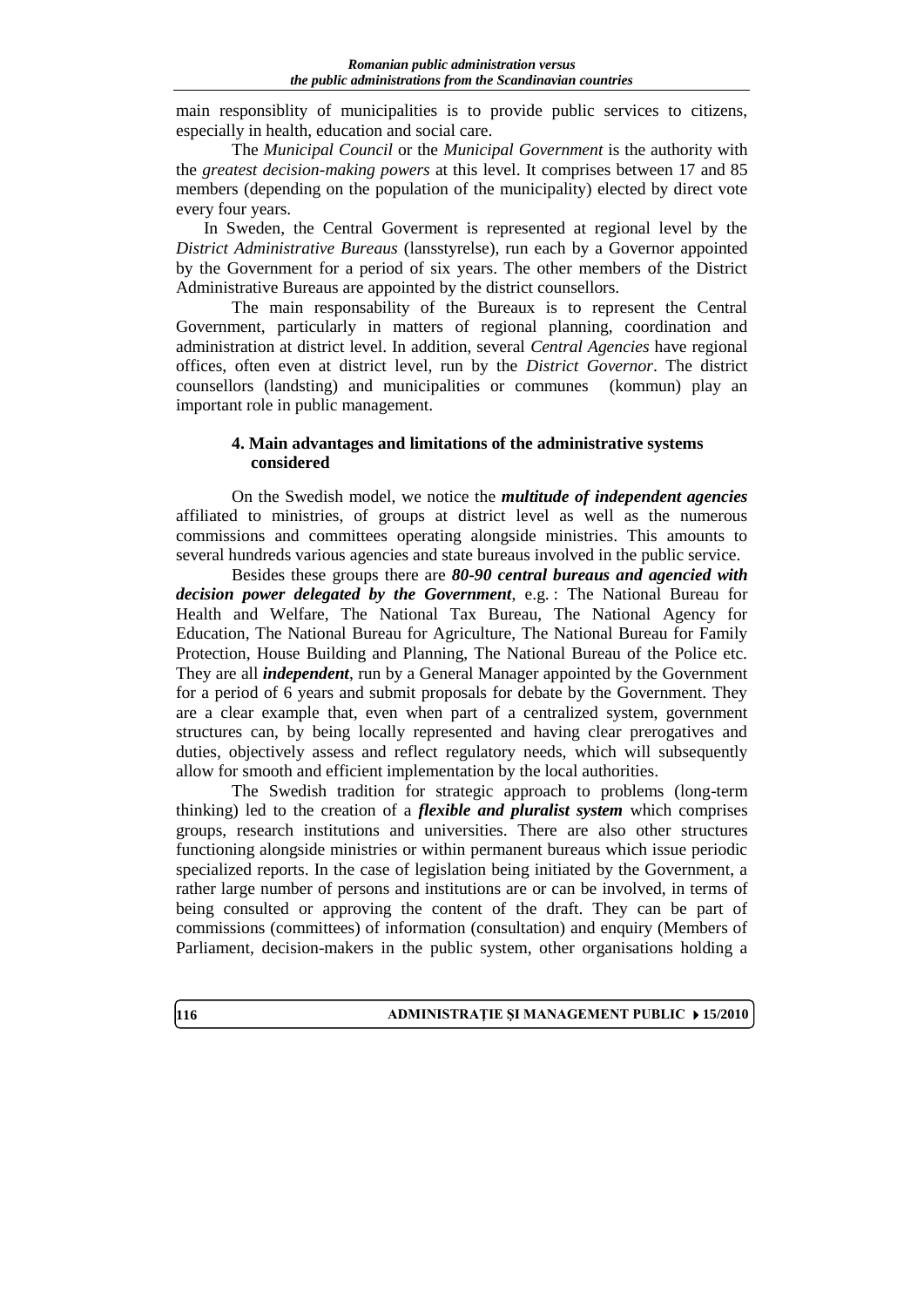main responsiblity of municipalities is to provide public services to citizens, especially in health, education and social care.

The *Municipal Council* or the *Municipal Government* is the authority with the *greatest decision-making powers* at this level. It comprises between 17 and 85 members (depending on the population of the municipality) elected by direct vote every four years.

In Sweden, the Central Goverment is represented at regional level by the *District Administrative Bureaus* (lansstyrelse), run each by a Governor appointed by the Government for a period of six years. The other members of the District Administrative Bureaus are appointed by the district counsellors.

The main responsability of the Bureaux is to represent the Central Government, particularly in matters of regional planning, coordination and administration at district level. In addition, several *Central Agencies* have regional offices, often even at district level, run by the *District Governor*. The district counsellors (landsting) and municipalities or communes (kommun) play an important role in public management.

### **4. Main advantages and limitations of the administrative systems considered**

On the Swedish model, we notice the *multitude of independent agencies* affiliated to ministries, of groups at district level as well as the numerous commissions and committees operating alongside ministries. This amounts to several hundreds various agencies and state bureaus involved in the public service.

Besides these groups there are *80-90 central bureaus and agencied with decision power delegated by the Government*, e.g. : The National Bureau for Health and Welfare, The National Tax Bureau, The National Agency for Education, The National Bureau for Agriculture, The National Bureau for Family Protection, House Building and Planning, The National Bureau of the Police etc. They are all *independent*, run by a General Manager appointed by the Government for a period of 6 years and submit proposals for debate by the Government. They are a clear example that, even when part of a centralized system, government structures can, by being locally represented and having clear prerogatives and duties, objectively assess and reflect regulatory needs, which will subsequently allow for smooth and efficient implementation by the local authorities.

The Swedish tradition for strategic approach to problems (long-term thinking) led to the creation of a *flexible and pluralist system* which comprises groups, research institutions and universities. There are also other structures functioning alongside ministries or within permanent bureaus which issue periodic specialized reports. In the case of legislation being initiated by the Government, a rather large number of persons and institutions are or can be involved, in terms of being consulted or approving the content of the draft. They can be part of commissions (committees) of information (consultation) and enquiry (Members of Parliament, decision-makers in the public system, other organisations holding a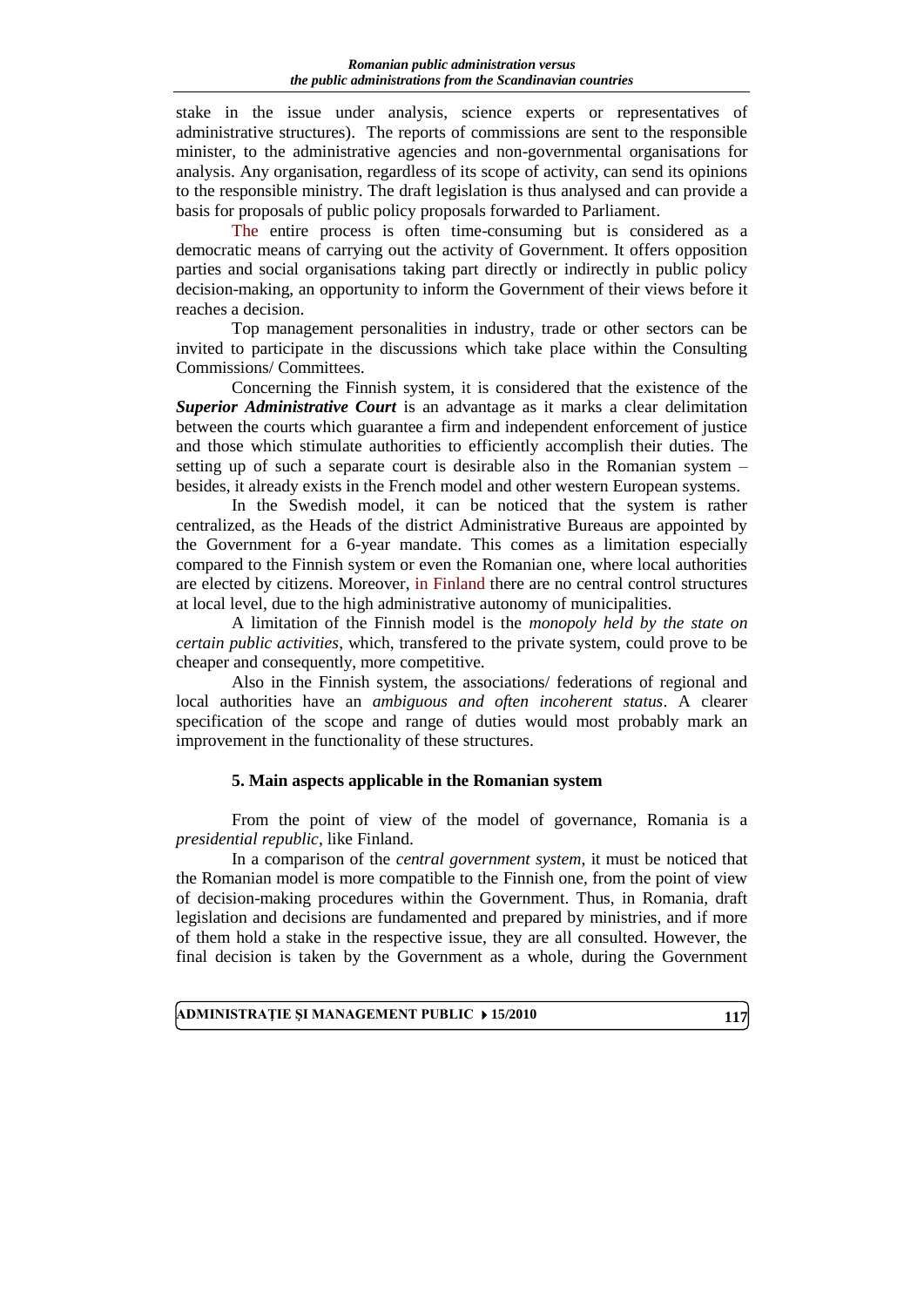stake in the issue under analysis, science experts or representatives of administrative structures). The reports of commissions are sent to the responsible minister, to the administrative agencies and non-governmental organisations for analysis. Any organisation, regardless of its scope of activity, can send its opinions to the responsible ministry. The draft legislation is thus analysed and can provide a basis for proposals of public policy proposals forwarded to Parliament.

The entire process is often time-consuming but is considered as a democratic means of carrying out the activity of Government. It offers opposition parties and social organisations taking part directly or indirectly in public policy decision-making, an opportunity to inform the Government of their views before it reaches a decision.

Top management personalities in industry, trade or other sectors can be invited to participate in the discussions which take place within the Consulting Commissions/ Committees.

Concerning the Finnish system, it is considered that the existence of the *Superior Administrative Court* is an advantage as it marks a clear delimitation between the courts which guarantee a firm and independent enforcement of justice and those which stimulate authorities to efficiently accomplish their duties. The setting up of such a separate court is desirable also in the Romanian system – besides, it already exists in the French model and other western European systems.

In the Swedish model, it can be noticed that the system is rather centralized, as the Heads of the district Administrative Bureaus are appointed by the Government for a 6-year mandate. This comes as a limitation especially compared to the Finnish system or even the Romanian one, where local authorities are elected by citizens. Moreover, in Finland there are no central control structures at local level, due to the high administrative autonomy of municipalities.

A limitation of the Finnish model is the *monopoly held by the state on certain public activities*, which, transfered to the private system, could prove to be cheaper and consequently, more competitive.

Also in the Finnish system, the associations/ federations of regional and local authorities have an *ambiguous and often incoherent status*. A clearer specification of the scope and range of duties would most probably mark an improvement in the functionality of these structures.

## **5. Main aspects applicable in the Romanian system**

From the point of view of the model of governance, Romania is a *presidential republic*, like Finland.

In a comparison of the *central government system*, it must be noticed that the Romanian model is more compatible to the Finnish one, from the point of view of decision-making procedures within the Government. Thus, in Romania, draft legislation and decisions are fundamented and prepared by ministries, and if more of them hold a stake in the respective issue, they are all consulted. However, the final decision is taken by the Government as a whole, during the Government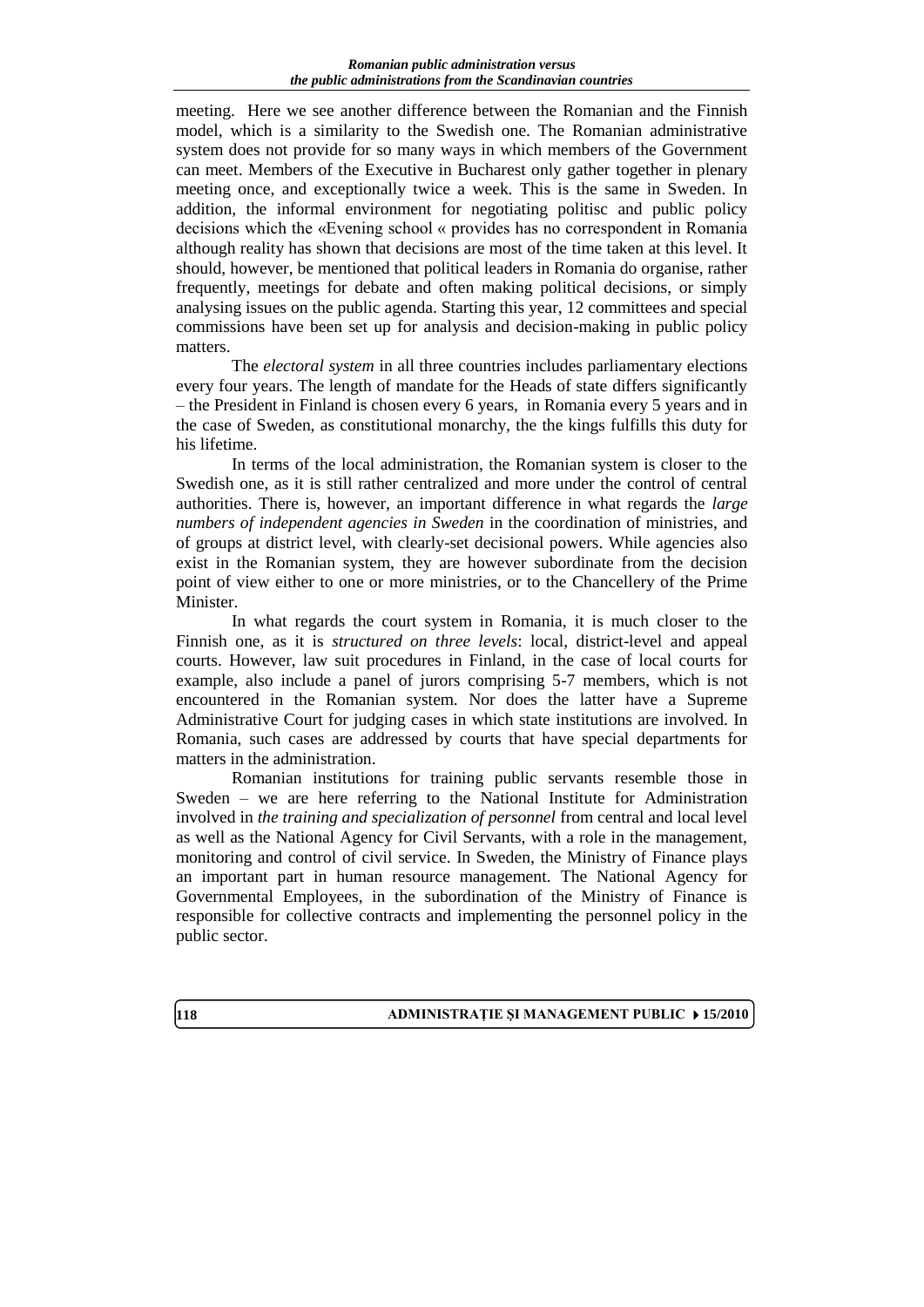meeting. Here we see another difference between the Romanian and the Finnish model, which is a similarity to the Swedish one. The Romanian administrative system does not provide for so many ways in which members of the Government can meet. Members of the Executive in Bucharest only gather together in plenary meeting once, and exceptionally twice a week. This is the same in Sweden. In addition, the informal environment for negotiating politisc and public policy decisions which the «Evening school « provides has no correspondent in Romania although reality has shown that decisions are most of the time taken at this level. It should, however, be mentioned that political leaders in Romania do organise, rather frequently, meetings for debate and often making political decisions, or simply analysing issues on the public agenda. Starting this year, 12 committees and special commissions have been set up for analysis and decision-making in public policy matters.

The *electoral system* in all three countries includes parliamentary elections every four years. The length of mandate for the Heads of state differs significantly – the President in Finland is chosen every 6 years, in Romania every 5 years and in the case of Sweden, as constitutional monarchy, the the kings fulfills this duty for his lifetime.

In terms of the local administration, the Romanian system is closer to the Swedish one, as it is still rather centralized and more under the control of central authorities. There is, however, an important difference in what regards the *large numbers of independent agencies in Sweden* in the coordination of ministries, and of groups at district level, with clearly-set decisional powers. While agencies also exist in the Romanian system, they are however subordinate from the decision point of view either to one or more ministries, or to the Chancellery of the Prime Minister.

In what regards the court system in Romania, it is much closer to the Finnish one, as it is *structured on three levels*: local, district-level and appeal courts. However, law suit procedures in Finland, in the case of local courts for example, also include a panel of jurors comprising 5-7 members, which is not encountered in the Romanian system. Nor does the latter have a Supreme Administrative Court for judging cases in which state institutions are involved. In Romania, such cases are addressed by courts that have special departments for matters in the administration.

Romanian institutions for training public servants resemble those in Sweden – we are here referring to the National Institute for Administration involved in *the training and specialization of personnel* from central and local level as well as the National Agency for Civil Servants, with a role in the management, monitoring and control of civil service. In Sweden, the Ministry of Finance plays an important part in human resource management. The National Agency for Governmental Employees, in the subordination of the Ministry of Finance is responsible for collective contracts and implementing the personnel policy in the public sector.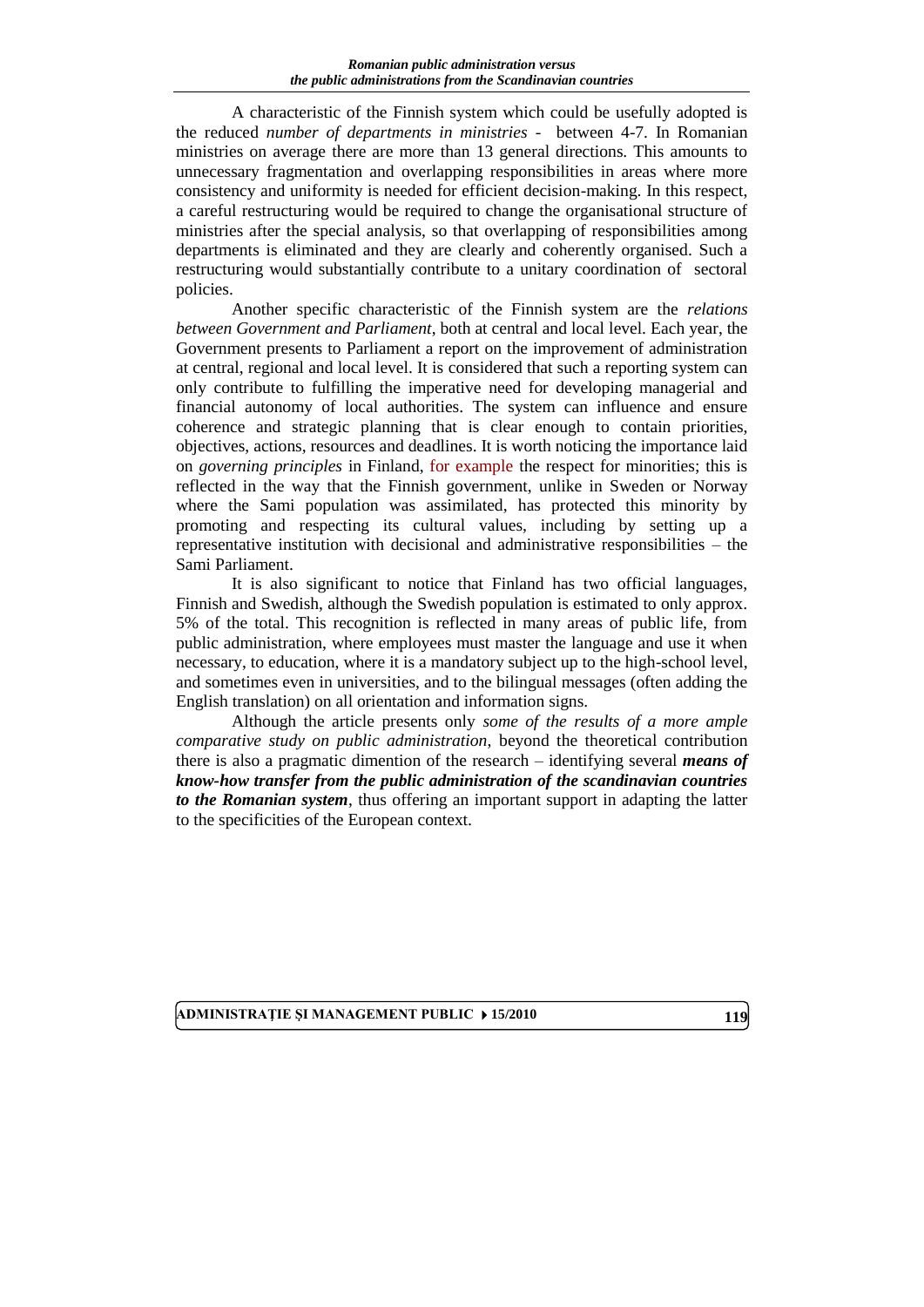A characteristic of the Finnish system which could be usefully adopted is the reduced *number of departments in ministries -* between 4-7. In Romanian ministries on average there are more than 13 general directions. This amounts to unnecessary fragmentation and overlapping responsibilities in areas where more consistency and uniformity is needed for efficient decision-making. In this respect, a careful restructuring would be required to change the organisational structure of ministries after the special analysis, so that overlapping of responsibilities among departments is eliminated and they are clearly and coherently organised. Such a restructuring would substantially contribute to a unitary coordination of sectoral policies.

Another specific characteristic of the Finnish system are the *relations between Government and Parliament*, both at central and local level. Each year, the Government presents to Parliament a report on the improvement of administration at central, regional and local level. It is considered that such a reporting system can only contribute to fulfilling the imperative need for developing managerial and financial autonomy of local authorities. The system can influence and ensure coherence and strategic planning that is clear enough to contain priorities, objectives, actions, resources and deadlines. It is worth noticing the importance laid on *governing principles* in Finland, for example the respect for minorities; this is reflected in the way that the Finnish government, unlike in Sweden or Norway where the Sami population was assimilated, has protected this minority by promoting and respecting its cultural values, including by setting up a representative institution with decisional and administrative responsibilities – the Sami Parliament.

It is also significant to notice that Finland has two official languages, Finnish and Swedish, although the Swedish population is estimated to only approx. 5% of the total. This recognition is reflected in many areas of public life, from public administration, where employees must master the language and use it when necessary, to education, where it is a mandatory subject up to the high-school level, and sometimes even in universities, and to the bilingual messages (often adding the English translation) on all orientation and information signs.

Although the article presents only *some of the results of a more ample comparative study on public administration*, beyond the theoretical contribution there is also a pragmatic dimention of the research – identifying several *means of know-how transfer from the public administration of the scandinavian countries to the Romanian system*, thus offering an important support in adapting the latter to the specificities of the European context.